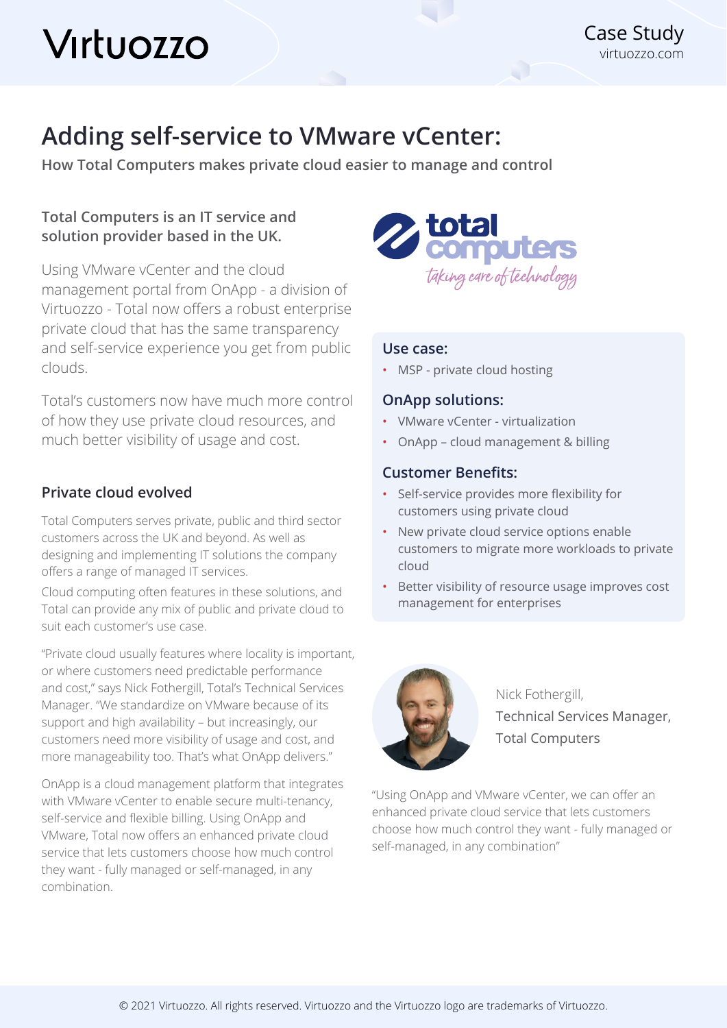# Virtuozzo

# **Adding self-service to VMware vCenter:**

**How Total Computers makes private cloud easier to manage and control** 

## **Total Computers is an IT service and solution provider based in the UK.**

Using VMware vCenter and the cloud management portal from OnApp - a division of Virtuozzo - Total now offers a robust enterprise private cloud that has the same transparency and self-service experience you get from public clouds.

Total's customers now have much more control of how they use private cloud resources, and much better visibility of usage and cost.

### **Private cloud evolved**

Total Computers serves private, public and third sector customers across the UK and beyond. As well as designing and implementing IT solutions the company offers a range of managed IT services.

Cloud computing often features in these solutions, and Total can provide any mix of public and private cloud to suit each customer's use case.

"Private cloud usually features where locality is important, or where customers need predictable performance and cost," says Nick Fothergill, Total's Technical Services Manager. "We standardize on VMware because of its support and high availability – but increasingly, our customers need more visibility of usage and cost, and more manageability too. That's what OnApp delivers."

OnApp is a cloud management platform that integrates with VMware vCenter to enable secure multi-tenancy, self-service and flexible billing. Using OnApp and VMware, Total now offers an enhanced private cloud service that lets customers choose how much control they want - fully managed or self-managed, in any combination.



#### **Use case:**

• MSP - private cloud hosting

#### **OnApp solutions:**

- VMware vCenter virtualization
- OnApp cloud management & billing

#### **Customer Benefits:**

- Self-service provides more flexibility for customers using private cloud
- New private cloud service options enable customers to migrate more workloads to private cloud
- Better visibility of resource usage improves cost management for enterprises



Nick Fothergill, Technical Services Manager, Total Computers

"Using OnApp and VMware vCenter, we can offer an enhanced private cloud service that lets customers choose how much control they want - fully managed or self-managed, in any combination"